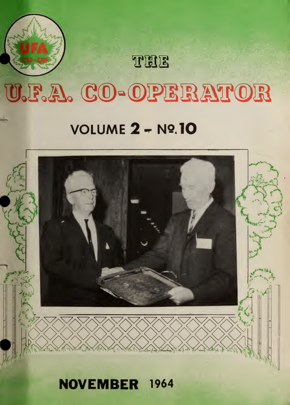# NOVEMBER <sup>1964</sup>

# **VOLUME 2 - Nº.10**

# THE U.F.A. CO-OPERATOR

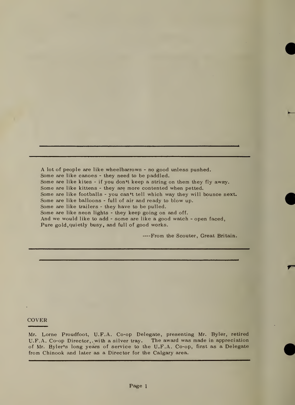A lot of people are like wheelbarrows - no good unless pushed. Some are like canoes - they need to be paddled. Some are like kites - if you don't keep a string on them they fly away. Some are like kittens - they are more contented when petted. Some are like footballs - you can't tell which way they will bounce next. Some are like balloons - full of air and ready to blow up. Some are like trailers - they have to be pulled. Some are like neon lights - they keep going on and off. And we would like to add - some are like a good watch - open faced, Pure gold,quietly busy, and full of good works.

—From the Scouter, Great Britain.

### COVER

Mr. Lome Proudfoot, U.F.A. Co-op Delegate, presenting Mr. Byler, retired U.F.A. Co-op Director, with a silver tray. The award was made in appreciation of Mr. Byler's long years of service to the U.F.A. Co-op, first as a Delegate from Chinook and later as a Director for the Calgary area.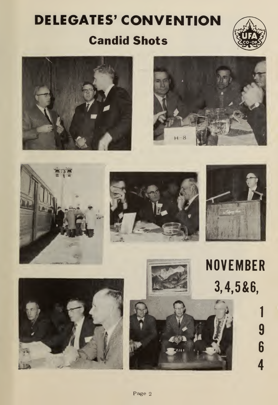### DELEGATES' CONVENTION

### Candid Shots

















**NOVEMBER**  $3, 4, 5 & 6,$ 

> 1 9  $\boldsymbol{6}$  $\overline{\mathbf{4}}$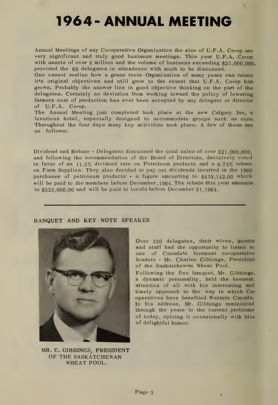### 1964- ANNUAL MEETING

Annual Meetings of any Co-operative Organization the size of U.F.A. Co-op are very significant and truly good business meetings. This year U.F.A. Co-op with assets of over 8 million and the volume of business exceeding \$21,000,000, provided the 60 delegates in attendence with much to be discussed.

One cannot realize how a grass roots Organization of many years can retain it's original objectives and still grow to the extent that U.F.A. Co-op has grown. Probably the answer lies in good objective thinking on the part of the delegates. Certainly no deviation from working toward the policy of lowering farmers cost of production has ever been accepted by any delegate or director of U.F.A. Co-op.

The Annual Meeting just completed took place at the new Calgary Inn, a luxurious hotel, especially designed to accommodate groups such as ours. Throughout the four days many key activities took place. A few of these are as follows:

Dividend and Rebate - Delegates discussed the total sales of over \$21,000,000, and following the recommendation of the Board of Directors, decisively voted in favor of an 11.5% dividend rate on Petroleum products and a 6.75% rebate on Farm Supplies. They also decided to pay out dividends incurred in the I960 purchases of petroleum products - a figure amounting to \$419,142.00 which will be paid to the members before  $December, 1964$ . The rebate this year amounts to \$523,000.00 and will be paid to locals before December 31,1964.

### BANQUET AND KEY NOTE SPEAKER



MR. C. GIBBINGS, PRESIDENT OF THE SASKATCHEWAN WHEAT POOL.

Over 350 delegates, their wives, guests and staff had the opportunity to listen to one of Canada's foremost co-operative leaders - Mr. Charles Gibbings, President of the Saskatchewan Wheat Pool.

Following the fine banquet, Mr. Gibbings, a dynamic personality, held the keenest attention of all with his interesting and timely approach to the way in which Cooperatives have benefited Western Canada. In his address, Mr. Gibbings reminisced through the years to the current problems of today, spicing it occasionally with bits of delightful humor.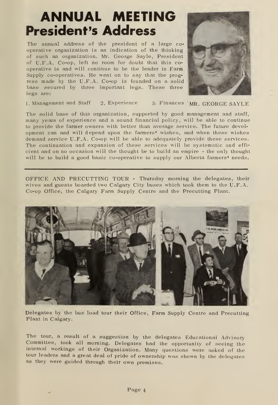### ANNUAL MEETING President's Address

The annual address of the president of a large co operative organization is an indication of the thinking of such an organization. Mr. George Sayle, President of U.F.A. Co-op, left no room for doubt that this co operative is and will continue to be the leader in Farm Supply co-operatives. He went on to say that the prog ress made by the U.F.A. Co-op is founded on a solid base secured by three important legs. These three legs are:



1. Management and Staff 2. Experience 3. Finances MR. GEORGE SAYLE

The solid base of this organization, supported by good management and staff, many years of experience and a sound financial policy, will be able to continue to provide the farmer owners with better than average service. The future devel opment can and will depend upon the farmers' wishes, and when these wishes demand service U.F.A. Co-op will be able to adequately provide these services. The continuation and expansion of these services will be systematic and effi cient and on no occasion will the thought be to build an empire - the only thought will be to build a good basic co-operative to supply our Alberta farmers' needs.

OFFICE AND PRECUTTING TOUR - Thursday morning the delegates, their wives and guests boarded two Calgary City buses which took them to the U.F.A. Co-op Office, the Calgary Farm Supply Centre and the Precutting Plant.



Delegates by the bus load tour their Office, Farm Supply Centre and Precutting Plant in Calgary.

The tour, <sup>a</sup> result of <sup>a</sup> suggestion by the delegates Educational Advisory Committee, took all morning. Delegates had the opportunity of seeing the internal workings of their Organization. Many questions were asked of the tour leaders and a great deal of pride of ownership was shown by the delegates as they were guided through their own premises.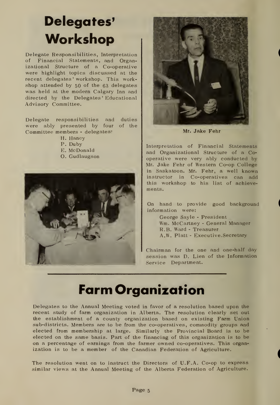### Delegates' Workshop

Delegate Responsibilities, Interpretation of Financial Statements, and Organizational Structure of a Co-operative were highlight topics discussed at the recent delegates' workshop. This workshop attended by 50 of the 63 delegates was held at the modern Calgary Inn and directed by the Delegates' Educational Advisory Committee.

Delegate responsibilities and duties were ably presented by four of the Committee members - delegates:

- H. Haney
- P. Duby
- E. McDonald
- O. Gudlaugson





Mr. Jake Fehr

Interpretation of Financial Statements and Organizational Structure of a Cooperative were very ably conducted by Mr. Jake Fehr of Western Co-op College in Saskatoon. Mr. Fehr, a well known instructor in Co-operatives can add this workshop to his list of achieve ments.

On hand to provide good background information were:

> George Sayle - President Wm. McCartney - General Manager R.B. Ward - Treasurer A.W. Piatt - Executive, Secretary

Chairman for the one and one-half day session was D. Lien of the Information Service Department.

### Farm Organization

Delegates to the Annual Meeting voted in favor of a resolution based upon the recent study of farm organization in Alberta. The resolution clearly set out the establishment of a county organization based on existing Farm Union sub-districts. Members are to be from the co-operatives, commodity groups and elected from membership at large. Similarly the Provincial Board is to be elected on the same basis. Part of the financing of this organization is to be on a percentage of earnings from the farmer owned co-operatives. This organization is to be a member of the Canadian Federation of Agriculture.

The resolution went on to instruct the Directors of U.F.A. Co-op to express similar views at the Annual Meeting of the Alberta Federation of Agriculture.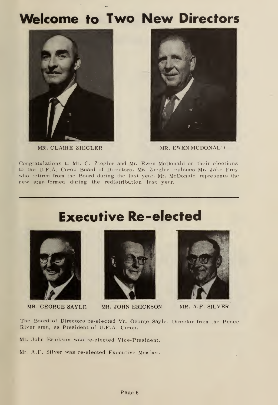### Welcome to Two New Directors



MR. CLAIRE ZIEGLER



MR. EWEN MCDONALD

Congratulations to Mr. C. Ziegler and Mr. Ewen McDonald on their elections to the U.F.A. Co-op Board of Directors. Mr. Ziegler replaces Mr. Jake Frey who retired from the Board during the last year. Mr. McDonald represents the new area formed during the redistribution last year.

### Executive Re-elected





MR. GEORGE SAYLE MR. JOHN ERICKSON MR. A.F. SILVER



The Board of Directors re-elected Mr. George Sayle, Director from the Peace River area, as President of U.F.A. Co-op.

Mr. John Erickson was re-elected Vice-President.

Mr. A.F. Silver was re-elected Executive Member.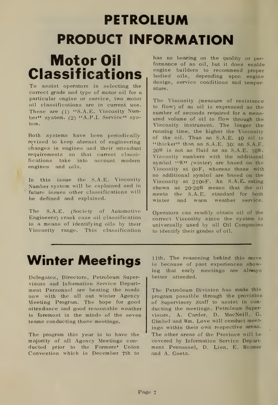# PETROLEUM PRODUCT INFORMATION

### Motor Oil Classifications

To assist operators in selecting the correct grade and type of motor oil for a particular engine or service, two motor oil classifications are in current use. These are (1) "S.A.E. Viscosity Number" system. (2) "A.P.I. Service" system.

Both systems have been periodically revised to keep abreast of engineering changes in engines and their attendant requirements so that current classifications take into account modern engines and oils.

In this issue the S.A.E. Viscosity Number system will be explained and in future issues other classifications will be defined and explained.

The S.A.E. (Society of Automotive Engineers) crank case oil classification is a means of identifying oils by their Viscosity range. This classification

has no bearing on the quality or per formance of an oil, but it does enable engine builders to recommend proper bodied oils, depending upon engine design, service conditions and temperature.

The Viscosity (measure of resistance to flow) of an oil is expressed as the number of seconds required for a measured volume of oil to flow through the Viscosity instrument. The longer the running time, the higher the Viscosity of the oil. Thus an S.A.E. 40 oil is "thicker" than an  $S.A.E. 30$ ; an  $S.A.E.$ 20W is not as fluid as an S.A.E. 10W- Viscosity numbers with the additional symbol "W" (winter) are based on the Viscosity at OoF, whereas those with no additional symbol are based on the Viscosity at 210oF. An S.A.E. rating shown as 20-20W means that the oil meets the S.A.E. standard for both winter and warm weather service.

Operators can readily obtain oil of the correct Viscosity since the system is universally used by all Oil Companies to identify their grades of oil.

### Winter Meetings

Delegates, Directors, Petroleum Super visors and Information Service Depart ment Personnel are beating the roads now with the all out winter Agency Meeting Program. The hope for good attendance and good reasonable weather is foremost in the minds of the seven teams conducting these meetings.

The program this year is to have the majority of all Agency Meetings con ducted prior to the Farmers' Union Convention which is December 7th to 11th. The reasoning behind this move is because of past experiences showing that early meetings are always better attended.

The Petroleum Division has made this program possible through the provision of Supervisory Staff to assist in con ducting the meetings. Petroleum Super visors, A. Carder, D. MacNeill, G. Gimbel and Wm. Love will conduct meet ings within their own respective areas. The other areas of the Province will be covered by Information Service Depart ment Personnel, D. Lien, E. Reimer and A. Goetz.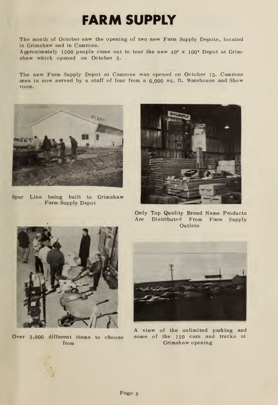### FARM SUPPLY

The month of October saw the opening of two new Farm Supply Depots, located in Grimshaw and in Camrose.

Approximately 1500 people came out to tour the new  $40'$  x 100' Depot at Grimshaw which opened on October 3.

The new Farm Supply Depot at Camrose was opened on October 15. Camrose area is now served by a staff of four from a 6,000 sq. ft. Warehouse and Show room.



Spur Line being built to Grimshaw Farm Supply Depot



Only Top Quality Brand Name Products Are Distributed From Farm Supply Outlets



Over 3,000 different items to choose from



A view of the unlimited parking and some of the 150 cars and trucks at Grimshaw opening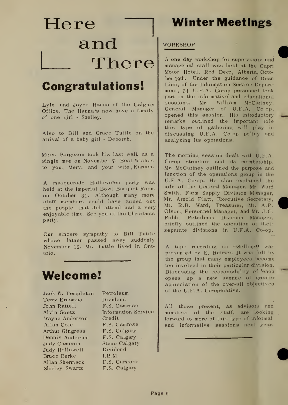# Here **Winter Meetings** and There

### Congratulations!

Lyle and Joyce Hanna of the Calgary sessions. Office. The Hanna's now have a family of one girl - Shelley.

Also to Bill and Grace Tuttle on the arrival of a baby girl - Deborah.

Merv. Borgeson took his last walk as a single man on November 7. Best Wishes to you, Merv. and your wife,Kareen.

A masquerade Hallowe'en party was held at the Imperial Bowl Banquet Room on October 31. Although many more staff members could have turned out the people that did attend had a very enjoyable time. See you at the Christmas party.

Our sincere sympathy to Bill Tuttle whose father passed away suddenly November 12. Mr. Tuttle lived in Ontario.

### Welcome!

Jack W. Templeton Terry Erasmus John Rattell Alvin Goetz Wayne Anderson Allan Cole Arthur Gingress Dennis Andersen Judy Cameron Judy Hellawell Bruce Burke Allan Shermack Shirley Swartz

Petroleum Dividend F.S. Camrose Information Service Credit F.S. Camrose F.S. Calgary F.S. Calgary . Steno Calgary Dividend I.B.M. F.S. Camrose F.S. Calgary

### WORKSHOP

A one day workshop for supervisory and managerial staff was held at the Capri Motor Hotel, Red Deer, Alberta, October 19th. Under the guidance of Dean Lien, of the Information Service Depart ment, 31 U.F.A. Co-op personnel took part in the informative and educational Mr. William McCartney, General Manager of U.F.A. Co-op, opened this session. His introductory remarks outlined the important role this type of gathering will play in discussing U.F.A. Co-op policy and analyzing its operations.

The morning session dealt with U.F.A. Co-op structure and its membership. Mr. McCartney outlined the purpose and function of the operations group in the U.F.A. Co-op. He also explained the role of the General Manager. Mr. Ward Smith, Farm Supply Division Manager, Mr. Arnold Piatt, Executive Secretary, Mr. R.B. Ward, Treasurer, Mr. A.P. Olson, Personnel Manager, and Mr. J.C. Robb, Petroleum Division Manager, briefly outlined the operation of their separate divisions in U.F.A. Co-op.

A tape recording on "Selling" was presented by E. Reimer. It was felt by the group that many employees become too involved in their particular division. Discussing the responsibility of 'each opens up a new avenue of greater appreciation of the over-all objectives of the U.F.A. Co-operative.

All those present, as advisors and members of the staff, are looking forward to more of this type of informal and informative sessions next year.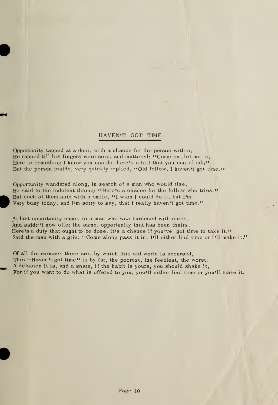### HAVEN'T GOT TIME

Opportunity tapped at a door, with a chance for the person within, He rapped till his fingers were sore, and muttered: "Come on, let me in, Here is something I know you can do, here's a hill that you can climb," But the person inside, very quickly replied, "Old fellow, I haven't got time."

Opportunity wandered along, in search of a man who would rise, He said to the indolent throng: "Here's a chance for the fellow who tries." But each of them said with a smile, "I wish <sup>I</sup> could do it, but I'm Very busy today, and I'm sorry to say, that <sup>I</sup> really haven't got time."

At last opportunity came, to a man who was burdened with cares, And said:"I now offer the same, opportunity that has been theirs, Here's a duty that ought to be done, it's a chance if you've got time to take it." Said the man with a grin: "Come along pass it in, I'll either find time or I'll make it."

Of all the excuses there are, by which this old world is accursed, This "Haven't got time" is by far, the poorest, the feeblest, the worst. A delusion it is, and a snare, if the habit is yours, you should shake it, For if you want to do what is offered to you, you'll either find time or you'll make it